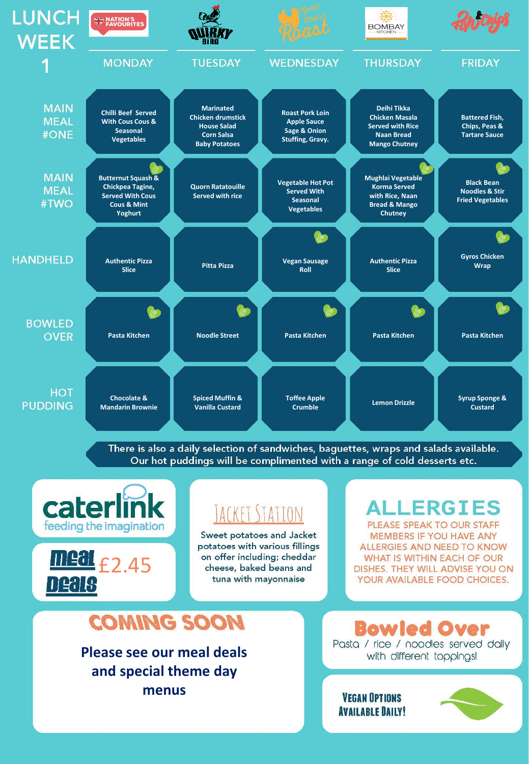

There is also a daily selection of sandwiches, baguettes, wraps and salads available. Our hot puddings will be complimented with a range of cold desserts etc.



menus

*VEGAN OPTIONS* **AVAILABLE DAILY!** 

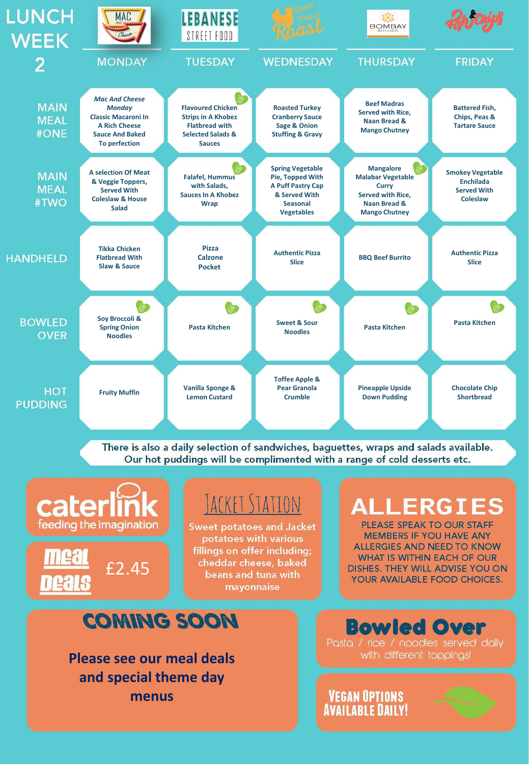

There is also a daily selection of sandwiches, baguettes, wraps and salads available. Our hot puddings will be complimented with a range of cold desserts etc.



**menus**

**VEGAN OPTIONS** 

**AVAILABLE DAILY!**